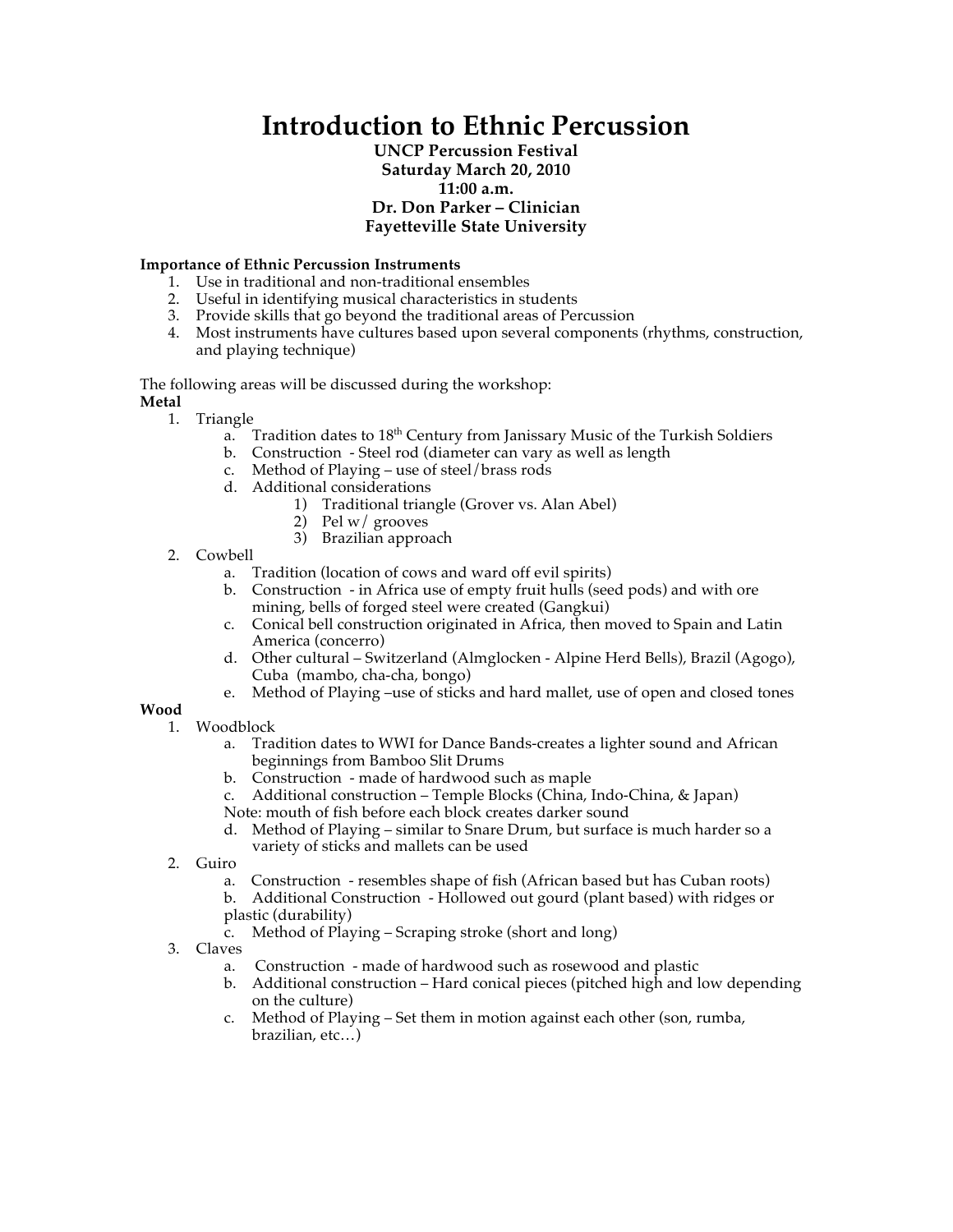# **Introduction to Ethnic Percussion**

## **UNCP Percussion Festival Saturday March 20, 2010 11:00 a.m. Dr. Don Parker – Clinician Fayetteville State University**

### **Importance of Ethnic Percussion Instruments**

- 1. Use in traditional and non-traditional ensembles
- 2. Useful in identifying musical characteristics in students
- 3. Provide skills that go beyond the traditional areas of Percussion
- 4. Most instruments have cultures based upon several components (rhythms, construction, and playing technique)

The following areas will be discussed during the workshop: **Metal**

- 1. Triangle
	- a. Tradition dates to  $18^{th}$  Century from Janissary Music of the Turkish Soldiers
	- b. Construction Steel rod (diameter can vary as well as length
	- c. Method of Playing use of steel/brass rods
	- d. Additional considerations
		- 1) Traditional triangle (Grover vs. Alan Abel)
			- 2) Pel w/ grooves
			- 3) Brazilian approach
- 2. Cowbell
	- a. Tradition (location of cows and ward off evil spirits)
	- b. Construction in Africa use of empty fruit hulls (seed pods) and with ore mining, bells of forged steel were created (Gangkui)
	- c. Conical bell construction originated in Africa, then moved to Spain and Latin America (concerro)
	- d. Other cultural Switzerland (Almglocken Alpine Herd Bells), Brazil (Agogo), Cuba (mambo, cha-cha, bongo)
	- e. Method of Playing –use of sticks and hard mallet, use of open and closed tones

#### **Wood**

- 1. Woodblock
	- a. Tradition dates to WWI for Dance Bands-creates a lighter sound and African beginnings from Bamboo Slit Drums
	- b. Construction made of hardwood such as maple
	- c. Additional construction Temple Blocks (China, Indo-China, & Japan) Note: mouth of fish before each block creates darker sound
	- d. Method of Playing similar to Snare Drum, but surface is much harder so a variety of sticks and mallets can be used
- 2. Guiro
	- a. Construction resembles shape of fish (African based but has Cuban roots) b. Additional Construction - Hollowed out gourd (plant based) with ridges or plastic (durability)
	- c. Method of Playing Scraping stroke (short and long)
- 3. Claves
	- a. Construction made of hardwood such as rosewood and plastic
	- b. Additional construction Hard conical pieces (pitched high and low depending on the culture)
	- c. Method of Playing Set them in motion against each other (son, rumba, brazilian, etc…)